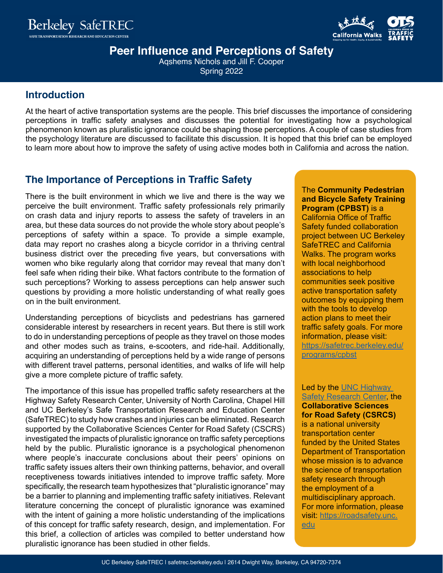



**Peer Influence and Perceptions of Safety** 

Aqshems Nichols and Jill F. Cooper Spring 2022

### **Introduction**

At the heart of active transportation systems are the people. This brief discusses the importance of considering perceptions in traffic safety analyses and discusses the potential for investigating how a psychological phenomenon known as pluralistic ignorance could be shaping those perceptions. A couple of case studies from the psychology literature are discussed to facilitate this discussion. It is hoped that this brief can be employed to learn more about how to improve the safety of using active modes both in California and across the nation.

## **The Importance of Perceptions in Traffic Safety**

There is the built environment in which we live and there is the way we perceive the built environment. Traffic safety professionals rely primarily on crash data and injury reports to assess the safety of travelers in an area, but these data sources do not provide the whole story about people's perceptions of safety within a space. To provide a simple example, data may report no crashes along a bicycle corridor in a thriving central business district over the preceding five years, but conversations with women who bike regularly along that corridor may reveal that many don't feel safe when riding their bike. What factors contribute to the formation of such perceptions? Working to assess perceptions can help answer such questions by providing a more holistic understanding of what really goes on in the built environment.

Understanding perceptions of bicyclists and pedestrians has garnered considerable interest by researchers in recent years. But there is still work to do in understanding perceptions of people as they travel on those modes and other modes such as trains, e-scooters, and ride-hail. Additionally, acquiring an understanding of perceptions held by a wide range of persons with different travel patterns, personal identities, and walks of life will help give a more complete picture of traffic safety.

The importance of this issue has propelled traffic safety researchers at the Highway Safety Research Center, University of North Carolina, Chapel Hill and UC Berkeley's Safe Transportation Research and Education Center (SafeTREC) to study how crashes and injuries can be eliminated. Research supported by the Collaborative Sciences Center for Road Safety (CSCRS) investigated the impacts of pluralistic ignorance on traffic safety perceptions held by the public. Pluralistic ignorance is a psychological phenomenon where people's inaccurate conclusions about their peers' opinions on traffic safety issues alters their own thinking patterns, behavior, and overall receptiveness towards initiatives intended to improve traffic safety. More specifically, the research team hypothesizes that "pluralistic ignorance" may be a barrier to planning and implementing traffic safety initiatives. Relevant literature concerning the concept of pluralistic ignorance was examined with the intent of gaining a more holistic understanding of the implications of this concept for traffic safety research, design, and implementation. For this brief, a collection of articles was compiled to better understand how pluralistic ignorance has been studied in other fields.

The **Community Pedestrian and Bicycle Safety Training Program (CPBST)** is a California Office of Traffic Safety funded collaboration project between UC Berkeley SafeTREC and California Walks. The program works with local neighborhood associations to help communities seek positive active transportation safety outcomes by equipping them with the tools to develop action plans to meet their traffic safety goals. For more information, please visit: [https://safetrec.berkeley.edu/](https://safetrec.berkeley.edu/programs/cpbst) [programs/cpbst](https://safetrec.berkeley.edu/programs/cpbst)

Led by the [UNC Highway](https://www.hsrc.unc.edu/)  [Safety Research Center](https://www.hsrc.unc.edu/), the **Collaborative Sciences for Road Safety (CSRCS)** is a national university transportation center funded by the United States Department of Transportation whose mission is to advance the science of transportation safety research through the employment of a multidisciplinary approach. For more information, please visit: [https://roadsafety.unc.](https://roadsafety.unc.edu) [edu](https://roadsafety.unc.edu)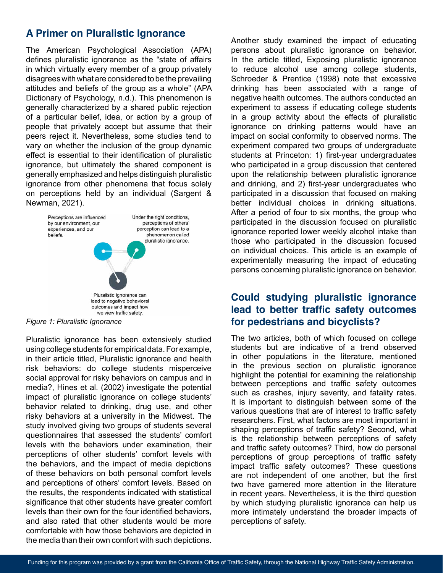# **A Primer on Pluralistic Ignorance**

The American Psychological Association (APA) defines pluralistic ignorance as the "state of affairs in which virtually every member of a group privately disagrees with what are considered to be the prevailing attitudes and beliefs of the group as a whole" (APA Dictionary of Psychology, n.d.). This phenomenon is generally characterized by a shared public rejection of a particular belief, idea, or action by a group of people that privately accept but assume that their peers reject it. Nevertheless, some studies tend to vary on whether the inclusion of the group dynamic effect is essential to their identification of pluralistic ignorance, but ultimately the shared component is generally emphasized and helps distinguish pluralistic ignorance from other phenomena that focus solely on perceptions held by an individual (Sargent & Newman, 2021).



*Figure 1: Pluralistic Ignorance*

Pluralistic ignorance has been extensively studied using college students for empirical data. For example, in their article titled, Pluralistic ignorance and health risk behaviors: do college students misperceive social approval for risky behaviors on campus and in media?, Hines et al. (2002) investigate the potential impact of pluralistic ignorance on college students' behavior related to drinking, drug use, and other risky behaviors at a university in the Midwest. The study involved giving two groups of students several questionnaires that assessed the students' comfort levels with the behaviors under examination, their perceptions of other students' comfort levels with the behaviors, and the impact of media depictions of these behaviors on both personal comfort levels and perceptions of others' comfort levels. Based on the results, the respondents indicated with statistical significance that other students have greater comfort levels than their own for the four identified behaviors, and also rated that other students would be more comfortable with how those behaviors are depicted in the media than their own comfort with such depictions.

Another study examined the impact of educating persons about pluralistic ignorance on behavior. In the article titled, Exposing pluralistic ignorance to reduce alcohol use among college students, Schroeder & Prentice (1998) note that excessive drinking has been associated with a range of negative health outcomes. The authors conducted an experiment to assess if educating college students in a group activity about the effects of pluralistic ignorance on drinking patterns would have an impact on social conformity to observed norms. The experiment compared two groups of undergraduate students at Princeton: 1) first-year undergraduates who participated in a group discussion that centered upon the relationship between pluralistic ignorance and drinking, and 2) first-year undergraduates who participated in a discussion that focused on making better individual choices in drinking situations. After a period of four to six months, the group who participated in the discussion focused on pluralistic ignorance reported lower weekly alcohol intake than those who participated in the discussion focused on individual choices. This article is an example of experimentally measuring the impact of educating persons concerning pluralistic ignorance on behavior.

### **Could studying pluralistic ignorance lead to better traffic safety outcomes for pedestrians and bicyclists?**

The two articles, both of which focused on college students but are indicative of a trend observed in other populations in the literature, mentioned in the previous section on pluralistic ignorance highlight the potential for examining the relationship between perceptions and traffic safety outcomes such as crashes, injury severity, and fatality rates. It is important to distinguish between some of the various questions that are of interest to traffic safety researchers. First, what factors are most important in shaping perceptions of traffic safety? Second, what is the relationship between perceptions of safety and traffic safety outcomes? Third, how do personal perceptions of group perceptions of traffic safety impact traffic safety outcomes? These questions are not independent of one another, but the first two have garnered more attention in the literature in recent years. Nevertheless, it is the third question by which studying pluralistic ignorance can help us more intimately understand the broader impacts of perceptions of safety.